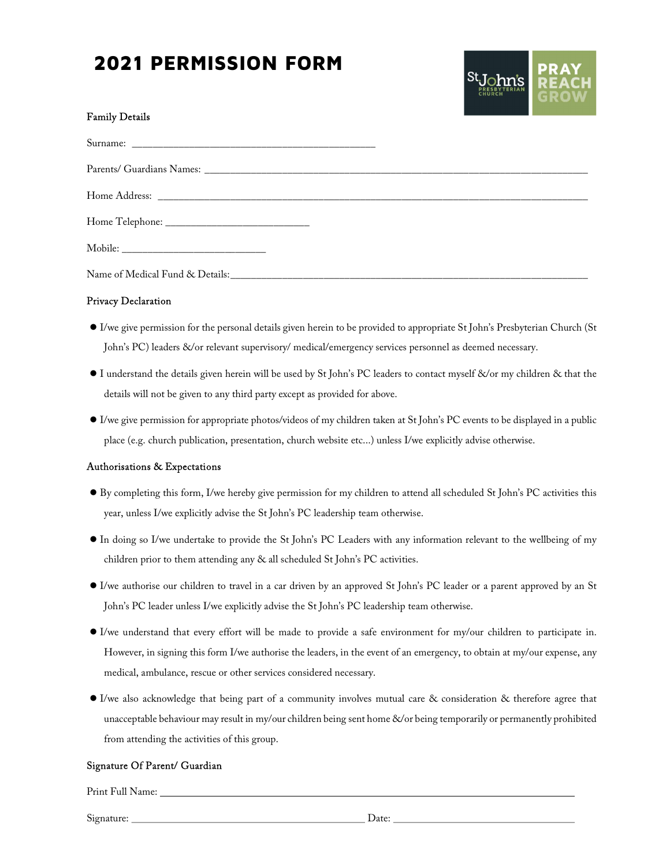# 2021 PERMISSION FORM



#### Family Details

#### Privacy Declaration

- I/we give permission for the personal details given herein to be provided to appropriate St John's Presbyterian Church (St John's PC) leaders &/or relevant supervisory/ medical/emergency services personnel as deemed necessary.
- I understand the details given herein will be used by St John's PC leaders to contact myself &/or my children & that the details will not be given to any third party except as provided for above.
- I/we give permission for appropriate photos/videos of my children taken at St John's PC events to be displayed in a public place (e.g. church publication, presentation, church website etc...) unless I/we explicitly advise otherwise.

#### Authorisations & Expectations

- By completing this form, I/we hereby give permission for my children to attend all scheduled St John's PC activities this year, unless I/we explicitly advise the St John's PC leadership team otherwise.
- In doing so I/we undertake to provide the St John's PC Leaders with any information relevant to the wellbeing of my children prior to them attending any & all scheduled St John's PC activities.
- I/we authorise our children to travel in a car driven by an approved St John's PC leader or a parent approved by an St John's PC leader unless I/we explicitly advise the St John's PC leadership team otherwise.
- I/we understand that every effort will be made to provide a safe environment for my/our children to participate in. However, in signing this form I/we authorise the leaders, in the event of an emergency, to obtain at my/our expense, any medical, ambulance, rescue or other services considered necessary.
- I/we also acknowledge that being part of a community involves mutual care & consideration & therefore agree that unacceptable behaviour may result in my/our children being sent home &/or being temporarily or permanently prohibited from attending the activities of this group. Signature Of Parent/ Guardian

Print Full Name:

Signature: Date: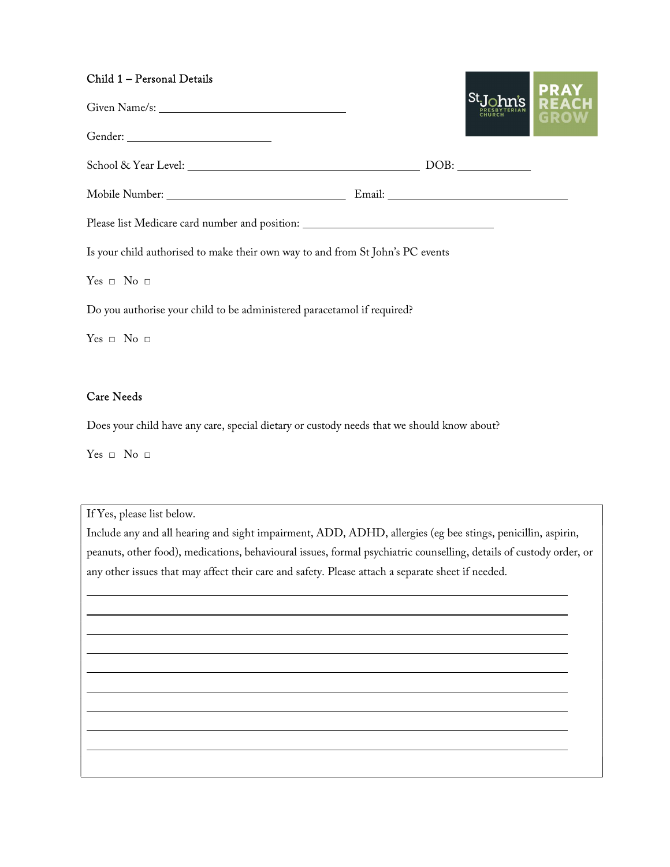#### Child 1 – Personal Details

| <b>St.John's REACH</b><br><b>REACH REACH GROW</b>                                                                                                         |                                                                                   |
|-----------------------------------------------------------------------------------------------------------------------------------------------------------|-----------------------------------------------------------------------------------|
|                                                                                                                                                           |                                                                                   |
|                                                                                                                                                           |                                                                                   |
|                                                                                                                                                           |                                                                                   |
|                                                                                                                                                           |                                                                                   |
|                                                                                                                                                           |                                                                                   |
|                                                                                                                                                           |                                                                                   |
|                                                                                                                                                           |                                                                                   |
| Is your child authorised to make their own way to and from St John's PC events<br>Do you authorise your child to be administered paracetamol if required? | Please list Medicare card number and position: __________________________________ |

<u>and the second contract of the second second in the second second in the second second in the second second in the second second in the second second in the second second in the second second in the second second in the s</u>

 $Yes \Box No \Box$ 

### Care Needs

Does your child have any care, special dietary or custody needs that we should know about?

 $Yes \Box No \Box$ 

 

If Yes, please list below.

Include any and all hearing and sight impairment, ADD, ADHD, allergies (eg bee stings, penicillin, aspirin, peanuts, other food), medications, behavioural issues, formal psychiatric counselling, details of custody order, or any other issues that may affect their care and safety. Please attach a separate sheet if needed.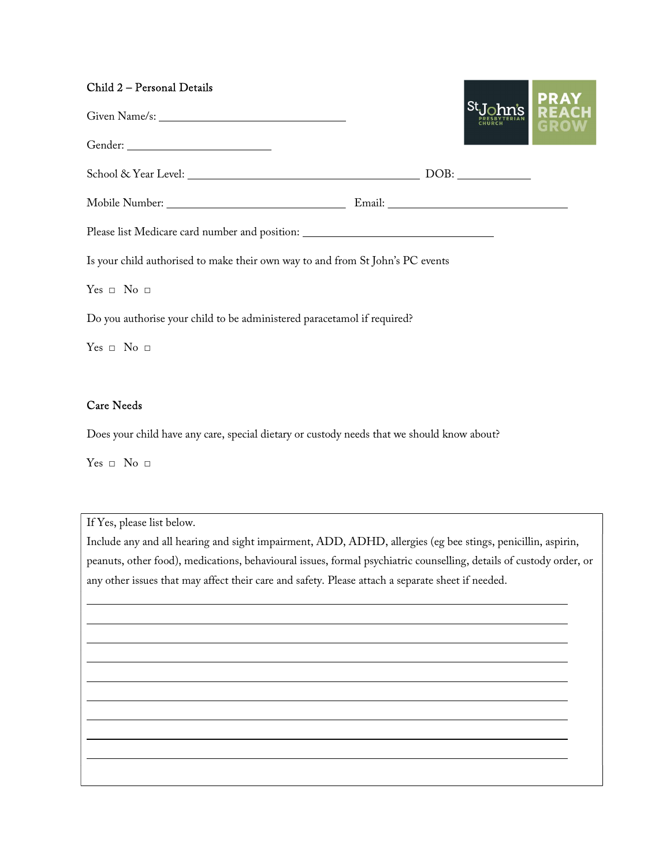#### Child 2 – Personal Details

|                                                                                   |  | <b>PRAY</b><br><b>REACH</b> |
|-----------------------------------------------------------------------------------|--|-----------------------------|
|                                                                                   |  |                             |
|                                                                                   |  |                             |
|                                                                                   |  |                             |
| Please list Medicare card number and position: __________________________________ |  |                             |
| Is your child authorised to make their own way to and from St John's PC events    |  |                             |
| $Yes \Box No \Box$                                                                |  |                             |
| Do you authorise your child to be administered paracetamol if required?           |  |                             |

 $Yes \Box No \Box$ 

# Care Needs

Does your child have any care, special dietary or custody needs that we should know about?

 $Yes \Box No \Box$ 

 

If Yes, please list below.

Include any and all hearing and sight impairment, ADD, ADHD, allergies (eg bee stings, penicillin, aspirin, peanuts, other food), medications, behavioural issues, formal psychiatric counselling, details of custody order, or any other issues that may affect their care and safety. Please attach a separate sheet if needed.